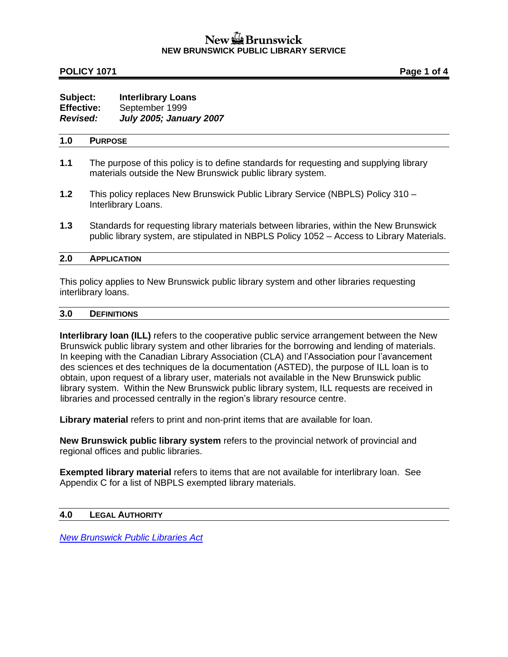# New La Brunswick **NEW BRUNSWICK PUBLIC LIBRARY SERVICE**

### **POLICY 1071 Page 1 of 4**

### **Subject: Interlibrary Loans Effective:** September 1999 *Revised: July 2005; January 2007*

### **1.0 PURPOSE**

- **1.1** The purpose of this policy is to define standards for requesting and supplying library materials outside the New Brunswick public library system.
- **1.2** This policy replaces New Brunswick Public Library Service (NBPLS) Policy 310 Interlibrary Loans.
- **1.3** Standards for requesting library materials between libraries, within the New Brunswick public library system, are stipulated in NBPLS Policy 1052 – Access to Library Materials.

#### **2.0 APPLICATION**

This policy applies to New Brunswick public library system and other libraries requesting interlibrary loans.

#### **3.0 DEFINITIONS**

**Interlibrary loan (ILL)** refers to the cooperative public service arrangement between the New Brunswick public library system and other libraries for the borrowing and lending of materials. In keeping with the Canadian Library Association (CLA) and l'Association pour l'avancement des sciences et des techniques de la documentation (ASTED), the purpose of ILL loan is to obtain, upon request of a library user, materials not available in the New Brunswick public library system. Within the New Brunswick public library system, ILL requests are received in libraries and processed centrally in the region's library resource centre.

**Library material** refers to print and non-print items that are available for loan.

**New Brunswick public library system** refers to the provincial network of provincial and regional offices and public libraries.

**Exempted library material** refers to items that are not available for interlibrary loan. See Appendix C for a list of NBPLS exempted library materials.

#### **4.0 LEGAL AUTHORITY**

*[New Brunswick Public Libraries Act](http://www2.gnb.ca/content/gnb/en/departments/attorney_general/acts_regulations.html)*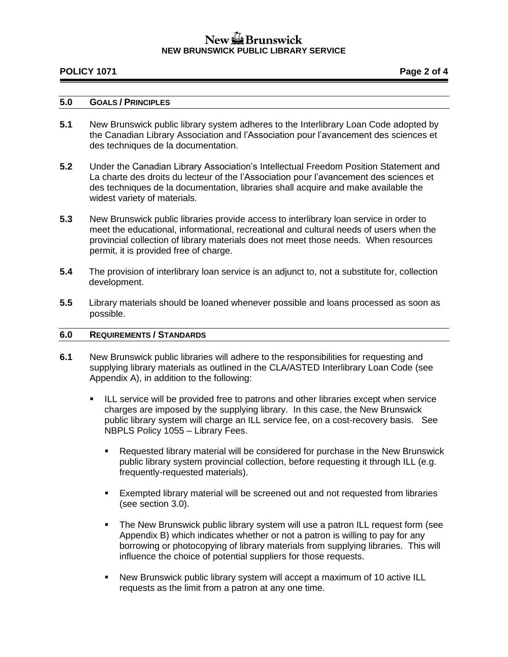# New La Brunswick **NEW BRUNSWICK PUBLIC LIBRARY SERVICE**

### **POLICY 1071 Page 2 of 4**

### **5.0 GOALS / PRINCIPLES**

- **5.1** New Brunswick public library system adheres to the Interlibrary Loan Code adopted by the Canadian Library Association and l'Association pour l'avancement des sciences et des techniques de la documentation.
- **5.2** Under the Canadian Library Association's Intellectual Freedom Position Statement and La charte des droits du lecteur of the [l'Association pour l'avancement des sciences et](http://www.asted.org/)  [des techniques de la documentation,](http://www.asted.org/) libraries shall acquire and make available the widest variety of materials.
- **5.3** New Brunswick public libraries provide access to interlibrary loan service in order to meet the educational, informational, recreational and cultural needs of users when the provincial collection of library materials does not meet those needs. When resources permit, it is provided free of charge.
- **5.4** The provision of interlibrary loan service is an adjunct to, not a substitute for, collection development.
- **5.5** Library materials should be loaned whenever possible and loans processed as soon as possible.

### **6.0 REQUIREMENTS / STANDARDS**

- **6.1** New Brunswick public libraries will adhere to the responsibilities for requesting and supplying library materials as outlined in the CLA/ASTED Interlibrary Loan Code (see Appendix A), in addition to the following:
	- **EXECT** ILL service will be provided free to patrons and other libraries except when service charges are imposed by the supplying library. In this case, the New Brunswick public library system will charge an ILL service fee, on a cost-recovery basis. See NBPLS Policy 1055 – Library Fees.
		- **Requested library material will be considered for purchase in the New Brunswick** public library system provincial collection, before requesting it through ILL (e.g. frequently-requested materials).
		- Exempted library material will be screened out and not requested from libraries (see section 3.0).
		- The New Brunswick public library system will use a patron ILL request form (see Appendix B) which indicates whether or not a patron is willing to pay for any borrowing or photocopying of library materials from supplying libraries. This will influence the choice of potential suppliers for those requests.
		- New Brunswick public library system will accept a maximum of 10 active ILL requests as the limit from a patron at any one time.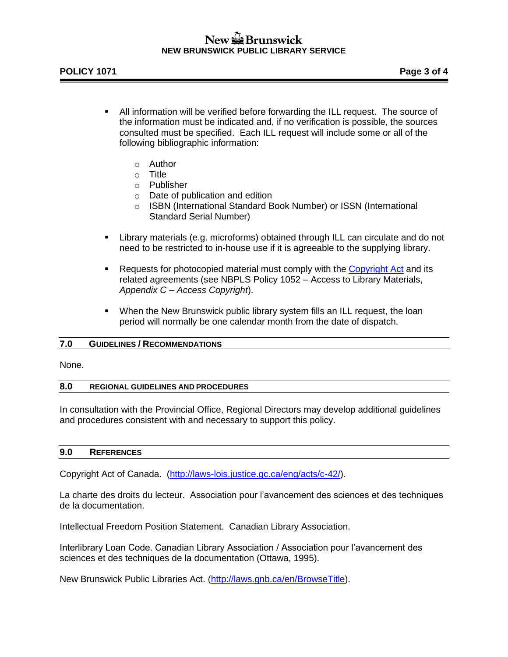# New  $\mathbb{Z}$  Brunswick **NEW BRUNSWICK PUBLIC LIBRARY SERVICE**

- All information will be verified before forwarding the ILL request. The source of the information must be indicated and, if no verification is possible, the sources consulted must be specified. Each ILL request will include some or all of the following bibliographic information:
	- o Author
	- o Title
	- o Publisher
	- o Date of publication and edition
	- o ISBN (International Standard Book Number) or ISSN (International Standard Serial Number)
- Library materials (e.g. microforms) obtained through ILL can circulate and do not need to be restricted to in-house use if it is agreeable to the supplying library.
- **Requests for photocopied material must comply with the [Copyright Act](http://laws-lois.justice.gc.ca/eng/acts/c-42/) and its** related agreements (see NBPLS Policy 1052 – Access to Library Materials, *Appendix C – Access Copyright*).
- **•** When the New Brunswick public library system fills an ILL request, the loan period will normally be one calendar month from the date of dispatch.

### **7.0 GUIDELINES / RECOMMENDATIONS**

None.

#### **8.0 REGIONAL GUIDELINES AND PROCEDURES**

In consultation with the Provincial Office, Regional Directors may develop additional guidelines and procedures consistent with and necessary to support this policy.

#### **9.0 REFERENCES**

Copyright Act of Canada. [\(http://laws-lois.justice.gc.ca/eng/acts/c-42/\)](http://laws-lois.justice.gc.ca/eng/acts/c-42/).

[La charte des droits du lecteur.](http://www.asted.org/) Association pour l'avancement des sciences et des techniques de la documentation.

[Intellectual Freedom Position Statement.](http://www.cla.ca/) Canadian Library Association.

Interlibrary Loan Code. Canadian Library Association / Association pour l'avancement des sciences et des techniques de la documentation (Ottawa, 1995).

New Brunswick Public Libraries Act. [\(http://laws.gnb.ca/en/BrowseTitle\)](http://laws.gnb.ca/en/BrowseTitle).